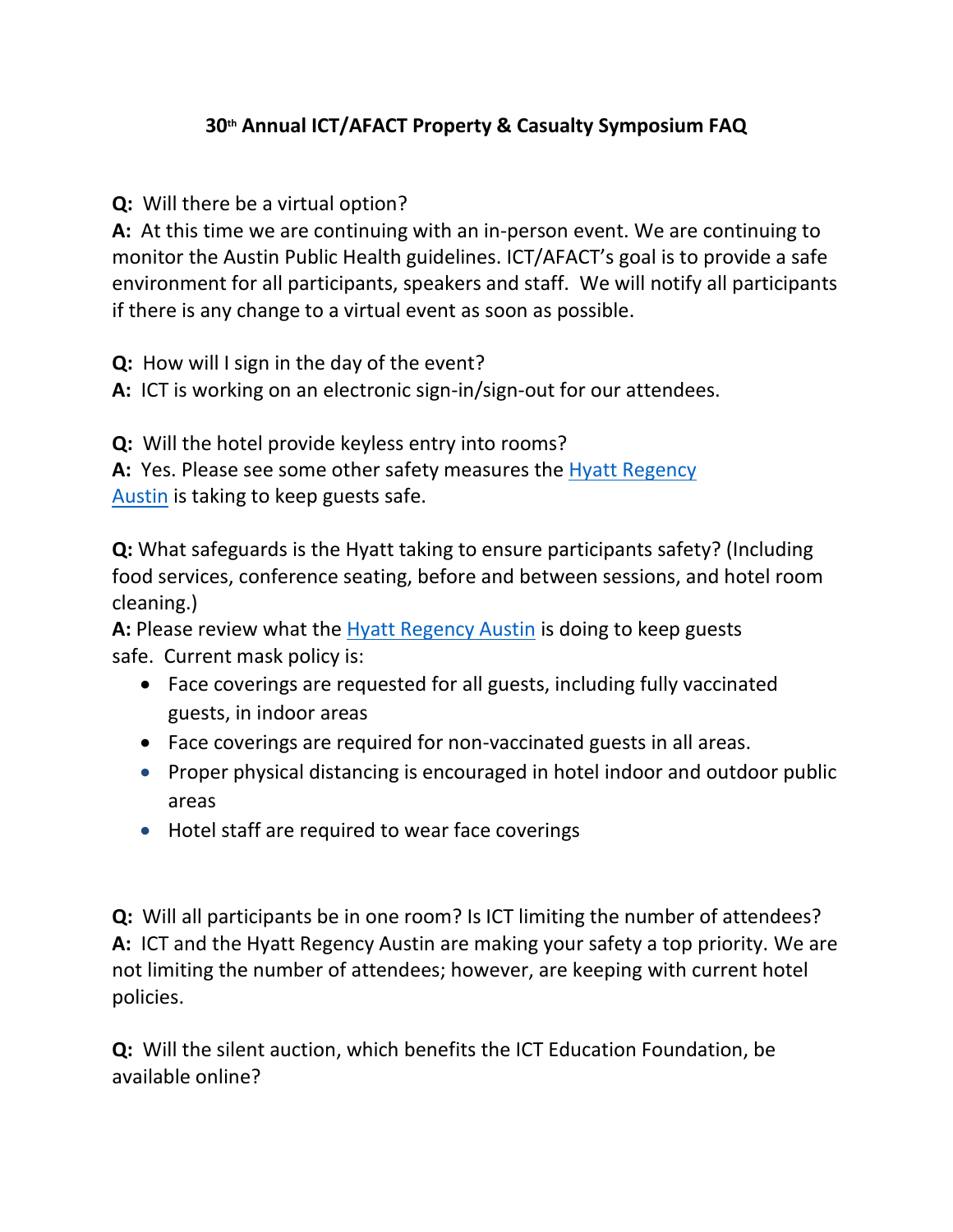## **30th Annual ICT/AFACT Property & Casualty Symposium FAQ**

**Q:** Will there be a virtual option?

**A:** At this time we are continuing with an in-person event. We are continuing to monitor the Austin Public Health guidelines. ICT/AFACT's goal is to provide a safe environment for all participants, speakers and staff. We will notify all participants if there is any change to a virtual event as soon as possible.

**Q:** How will I sign in the day of the event?

**A:** ICT is working on an electronic sign-in/sign-out for our attendees.

**Q:** Will the hotel provide keyless entry into rooms? **A:** Yes. Please see some other safety measures the [Hyatt Regency](https://www.hyatt.com/info/care-and-cleanliness-americas) 

[Austin](https://www.hyatt.com/info/care-and-cleanliness-americas) is taking to keep guests safe.

**Q:** What safeguards is the Hyatt taking to ensure participants safety? (Including food services, conference seating, before and between sessions, and hotel room cleaning.)

**A:** Please review what the [Hyatt Regency Austin](https://www.hyatt.com/info/care-and-cleanliness-americas) is doing to keep guests safe. Current mask policy is:

- Face coverings are requested for all guests, including fully vaccinated guests, in indoor areas
- Face coverings are required for non-vaccinated guests in all areas.
- Proper physical distancing is encouraged in hotel indoor and outdoor public areas
- Hotel staff are required to wear face coverings

**Q:** Will all participants be in one room? Is ICT limiting the number of attendees? **A:** ICT and the Hyatt Regency Austin are making your safety a top priority. We are not limiting the number of attendees; however, are keeping with current hotel policies.

**Q:** Will the silent auction, which benefits the ICT Education Foundation, be available online?